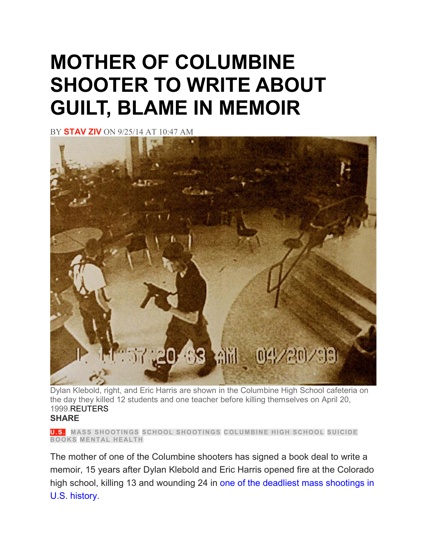## **MOTHER OF COLUMBINE SHOOTER TO WRITE ABOUT GUILT, BLAME IN MEMOIR**

BY **[STAV](https://www.newsweek.com/authors/stav-ziv) ZIV** ON 9/25/14 AT 10:47 AM



Dylan Klebold, right, and Eric Harris are shown in the Columbine High School cafeteria on the day they killed 12 students and one teacher before killing themselves on April 20, 1999.REUTERS **SHARE**

**[U.S.](https://www.newsweek.com/us) MASS [SHOOTINGS](https://www.newsweek.com/topic/mass-shootings) SCHOOL [SHOOTINGS](https://www.newsweek.com/topic/school-shootings) [COLUMBINE](https://www.newsweek.com/topic/columbine-high-school) HIGH SCHOOL [SUICIDE](https://www.newsweek.com/topic/suicide) [BOOKS](https://www.newsweek.com/topic/books) [MENTAL](https://www.newsweek.com/topic/mental-health) HEALTH**

The mother of one of the Columbine shooters has signed a book deal to write a memoir, 15 years after Dylan Klebold and Eric Harris opened fire at the Colorado high school, killing 13 and wounding 24 in one of the deadliest mass [shootings](http://www.washingtonpost.com/wp-srv/special/nation/deadliest-us-shootings/) in U.S. [history.](http://www.washingtonpost.com/wp-srv/special/nation/deadliest-us-shootings/)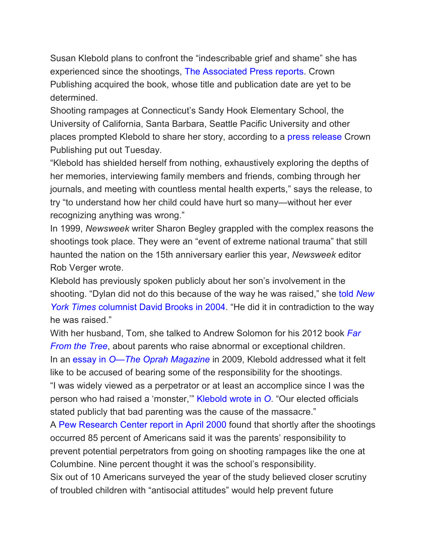Susan Klebold plans to confront the "indescribable grief and shame" she has experienced since the shootings, The [Associated](http://bigstory.ap.org/article/50fd09641ab6440085f715c8b7ec9078/mother-columbine-shooter-has-book-deal) Press reports. Crown Publishing acquired the book, whose title and publication date are yet to be determined.

Shooting rampages at Connecticut's Sandy Hook Elementary School, the University of California, Santa Barbara, Seattle Pacific University and other places prompted Klebold to share her story, according to a press [release](http://crownpublishing.com/news/susan-klebold-memoir-published-crown/#.VCQs0vldWVM) Crown Publishing put out Tuesday.

"Klebold has shielded herself from nothing, exhaustively exploring the depths of her memories, interviewing family members and friends, combing through her journals, and meeting with countless mental health experts," says the release, to try "to understand how her child could have hurt so many—without her ever recognizing anything was wrong."

In 1999, *Newsweek* writer Sharon Begley grappled with the complex reasons the shootings took place. They were an "event of extreme national trauma" that still haunted the nation on the 15th anniversary earlier this year, *Newsweek* editor Rob Verger wrote.

Klebold has previously spoken publicly about her son's involvement in the shooting. "Dylan did not do this because of the way he was raised," she told *[New](http://www.nytimes.com/2004/05/15/opinion/columbine-parents-of-a-killer.html) York Times* [columnist](http://www.nytimes.com/2004/05/15/opinion/columbine-parents-of-a-killer.html) David Brooks in 2004. "He did it in contradiction to the way he was raised."

With her husband, Tom, she talked to Andrew Solomon for his 2012 book *[Far](http://andrewsolomon.com/books/far-from-the-tree/) [From](http://andrewsolomon.com/books/far-from-the-tree/) the Tree*, about parents who raise abnormal or exceptional children. In an essay in *O—The Oprah [Magazine](http://www.oprah.com/world/Susan-Klebolds-O-Magazine-Essay-I-Will-Never-Know-Why)* in 2009, Klebold addressed what it felt like to be accused of bearing some of the responsibility for the shootings. "I was widely viewed as a perpetrator or at least an accomplice since I was the person who had raised a 'monster,'" [Klebold](http://www.oprah.com/world/Susan-Klebolds-O-Magazine-Essay-I-Will-Never-Know-Why) wrote in *O*. "Our elected officials stated publicly that bad parenting was the cause of the massacre."

A Pew [Research](http://www.people-press.org/2000/04/19/a-year-after-columbine-public-looks-to-parents-more-than-schools-to-prevent-violence/) Center report in April 2000 found that shortly after the shootings occurred 85 percent of Americans said it was the parents' responsibility to prevent potential perpetrators from going on shooting rampages like the one at Columbine. Nine percent thought it was the school's responsibility. Six out of 10 Americans surveyed the year of the study believed closer scrutiny

of troubled children with "antisocial attitudes" would help prevent future